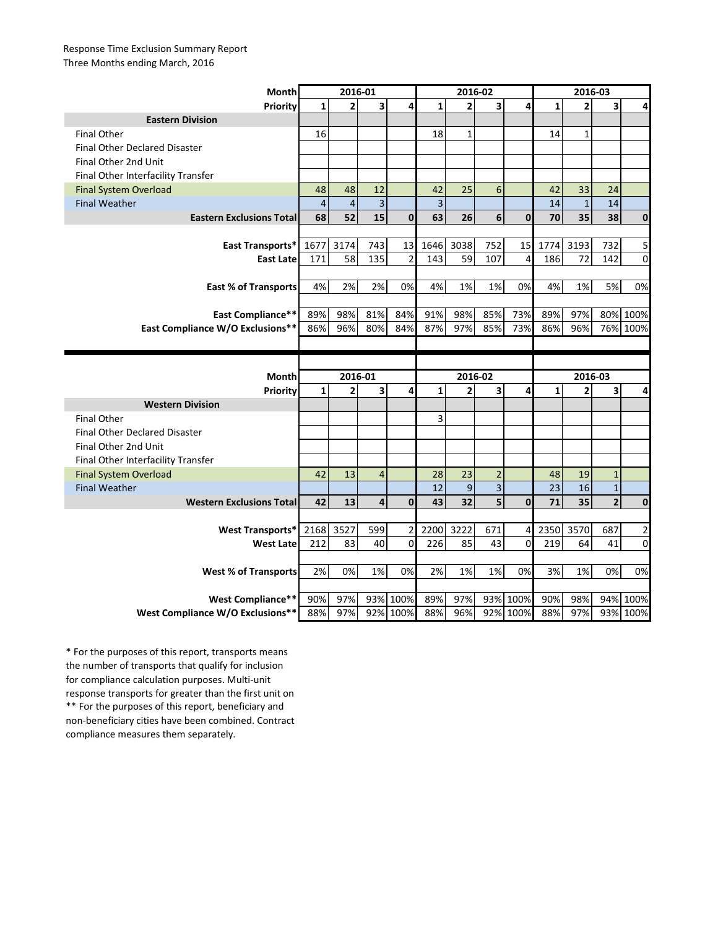## Response Time Exclusion Summary Report Three Months ending March, 2016

| <b>Month</b>                         | 2016-01      |                |                |                  | 2016-02        |                |                         |                      | 2016-03      |                |                |             |
|--------------------------------------|--------------|----------------|----------------|------------------|----------------|----------------|-------------------------|----------------------|--------------|----------------|----------------|-------------|
| <b>Priority</b>                      | $\mathbf{1}$ | $\overline{2}$ | 3              | 4                | $\mathbf{1}$   | $\overline{2}$ | $\overline{\mathbf{3}}$ | 4                    | $\mathbf{1}$ | $\overline{2}$ | 3              | 4           |
| <b>Eastern Division</b>              |              |                |                |                  |                |                |                         |                      |              |                |                |             |
| <b>Final Other</b>                   | 16           |                |                |                  | 18             | $\mathbf{1}$   |                         |                      | 14           | $\mathbf{1}$   |                |             |
| <b>Final Other Declared Disaster</b> |              |                |                |                  |                |                |                         |                      |              |                |                |             |
| Final Other 2nd Unit                 |              |                |                |                  |                |                |                         |                      |              |                |                |             |
| Final Other Interfacility Transfer   |              |                |                |                  |                |                |                         |                      |              |                |                |             |
| <b>Final System Overload</b>         | 48           | 48             | 12             |                  | 42             | 25             | 6                       |                      | 42           | 33             | 24             |             |
| <b>Final Weather</b>                 | $\sqrt{4}$   | $\overline{4}$ | 3              |                  | $\overline{3}$ |                |                         |                      | 14           | $\mathbf 1$    | 14             |             |
| <b>Eastern Exclusions Total</b>      | 68           | 52             | 15             | $\mathbf{0}$     | 63             | 26             | 6                       | $\mathbf{0}$         | 70           | 35             | 38             | $\mathbf 0$ |
|                                      |              |                |                |                  |                |                |                         |                      |              |                |                |             |
| East Transports*                     | 1677         | 3174           | 743            | 13               | 1646           | 3038           | 752                     | 15                   | 1774         | 3193           | 732            | 5           |
| <b>East Late</b>                     | 171          | 58             | 135            | $\overline{2}$   | 143            | 59             | 107                     | $\overline{4}$       | 186          | 72             | 142            | 0           |
|                                      |              |                |                |                  |                |                |                         |                      |              |                |                |             |
| <b>East % of Transports</b>          | 4%           | 2%             | 2%             | 0%               | 4%             | 1%             | 1%                      | 0%                   | 4%           | 1%             | 5%             | 0%          |
|                                      |              |                |                |                  |                |                |                         |                      |              |                |                |             |
| <b>East Compliance**</b>             | 89%          | 98%            | 81%            | 84%              | 91%            | 98%            | 85%                     | 73%                  | 89%          | 97%            | 80%            | 100%        |
| East Compliance W/O Exclusions**     | 86%          | 96%            | 80%            | 84%              | 87%            | 97%            | 85%                     | 73%                  | 86%          | 96%            | 76%            | 100%        |
|                                      |              |                |                |                  |                |                |                         |                      |              |                |                |             |
|                                      |              |                |                |                  |                |                |                         |                      |              |                |                |             |
|                                      |              |                |                |                  |                |                |                         |                      |              |                |                |             |
| Month                                |              | 2016-01        |                |                  |                | 2016-02        |                         |                      |              | 2016-03        |                |             |
| Priority                             | $\mathbf{1}$ | $\overline{2}$ | 3              | 4                | $\mathbf{1}$   | $\overline{2}$ | 3                       | 4                    | $\mathbf{1}$ | $\overline{2}$ | 3              | 4           |
| <b>Western Division</b>              |              |                |                |                  |                |                |                         |                      |              |                |                |             |
| <b>Final Other</b>                   |              |                |                |                  | 3              |                |                         |                      |              |                |                |             |
| <b>Final Other Declared Disaster</b> |              |                |                |                  |                |                |                         |                      |              |                |                |             |
| Final Other 2nd Unit                 |              |                |                |                  |                |                |                         |                      |              |                |                |             |
| Final Other Interfacility Transfer   |              |                |                |                  |                |                |                         |                      |              |                |                |             |
| <b>Final System Overload</b>         | 42           | 13             | $\overline{4}$ |                  | 28             | 23             | $\overline{2}$          |                      | 48           | 19             | $\mathbf 1$    |             |
| <b>Final Weather</b>                 |              |                |                |                  | 12             | 9              | $\overline{3}$          |                      | 23           | 16             | $\mathbf{1}$   |             |
| <b>Western Exclusions Total</b>      | 42           | 13             | 4              | $\mathbf{0}$     | 43             | 32             | 5                       | $\mathbf{0}$         | 71           | 35             | $\overline{2}$ | $\mathbf 0$ |
|                                      |              |                |                |                  |                |                |                         |                      |              |                |                |             |
| <b>West Transports*</b>              | 2168         | 3527           | 599            | 2                | 2200           | 3222           | 671                     | 4                    | 2350         | 3570           | 687            | 2           |
| <b>West Late</b>                     | 212          | 83             | 40             | $\Omega$         | 226            | 85             | 43                      | $\Omega$             | 219          | 64             | 41             | 0           |
|                                      |              |                |                |                  |                |                |                         |                      |              |                |                |             |
| <b>West % of Transports</b>          | 2%           | 0%             | 1%             | 0%               | 2%             | 1%             | 1%                      | 0%                   | 3%           | 1%             | 0%             | 0%          |
|                                      |              |                |                |                  |                |                |                         |                      |              |                |                |             |
| <b>West Compliance**</b>             | 90%          | 97%<br>97%     | 93%            | 100%<br>92% 100% | 89%<br>88%     | 97%<br>96%     |                         | 93% 100%<br>92% 100% | 90%<br>88%   | 98%<br>97%     | 94%            | 100%        |

\*\* For the purposes of this report, beneficiary and non-beneficiary cities have been combined. Contract compliance measures them separately. \* For the purposes of this report, transports means the number of transports that qualify for inclusion for compliance calculation purposes. Multi-unit response transports for greater than the first unit on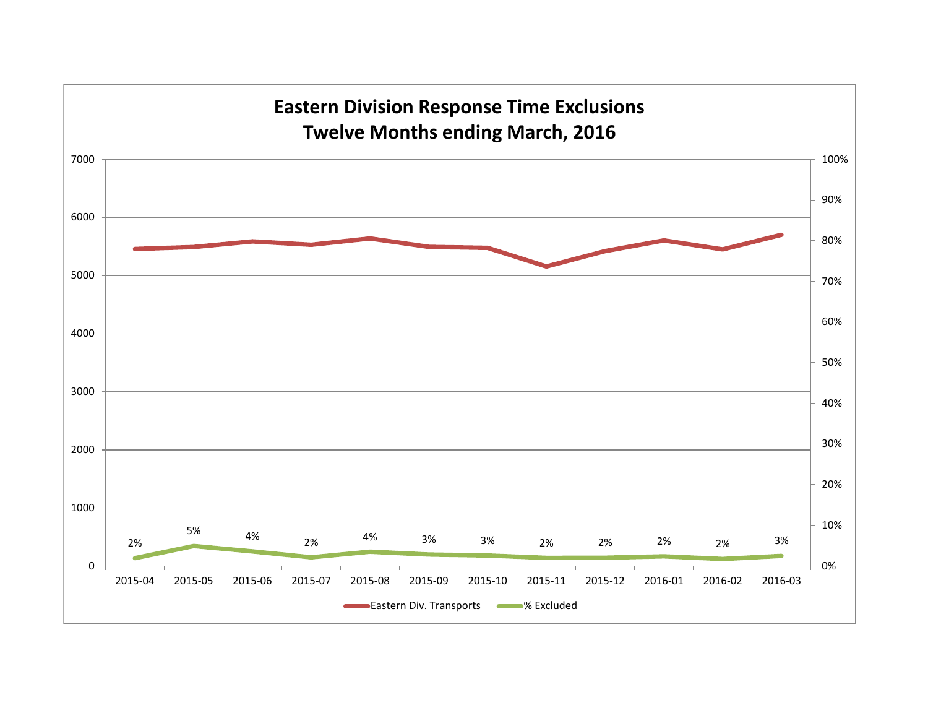